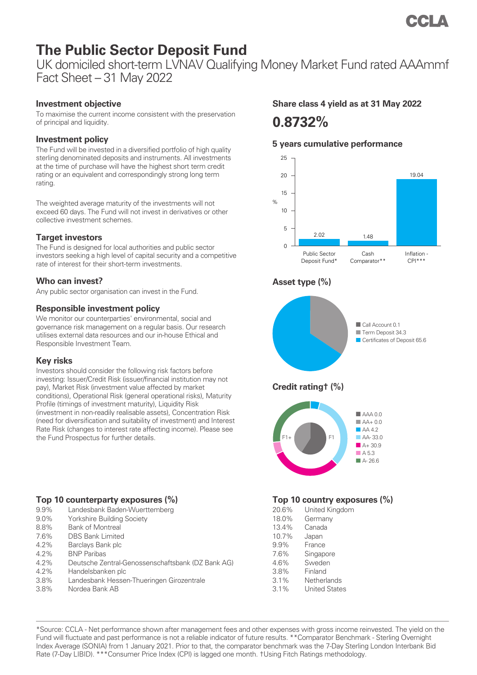# **The Public Sector Deposit Fund**

UK domiciled short-term LVNAV Qualifying Money Market Fund rated AAAmmf Fact Sheet – 31 May 2022

## **Investment objective**

To maximise the current income consistent with the preservation of principal and liquidity.

## **Investment policy**

The Fund will be invested in a diversified portfolio of high quality sterling denominated deposits and instruments. All investments at the time of purchase will have the highest short term credit rating or an equivalent and correspondingly strong long term rating.

The weighted average maturity of the investments will not exceed 60 days. The Fund will not invest in derivatives or other collective investment schemes.

### **Target investors**

The Fund is designed for local authorities and public sector investors seeking a high level of capital security and a competitive rate of interest for their short-term investments.

### **Who can invest?**

Any public sector organisation can invest in the Fund.

### **Responsible investment policy**

We monitor our counterparties' environmental, social and governance risk management on a regular basis. Our research utilises external data resources and our in-house Ethical and Responsible Investment Team.

## **Key risks**

Investors should consider the following risk factors before investing: Issuer/Credit Risk (issuer/financial institution may not pay), Market Risk (investment value affected by market conditions), Operational Risk (general operational risks), Maturity Profile (timings of investment maturity), Liquidity Risk (investment in non-readily realisable assets), Concentration Risk (need for diversification and suitability of investment) and Interest Rate Risk (changes to interest rate affecting income). Please see the Fund Prospectus for further details.

## **Top 10 counterparty exposures (%)**

- 9.9% Landesbank Baden-Wuerttemberg
- 9.0% Yorkshire Building Society
- 8.8% Bank of Montreal
- 7.6% DBS Bank Limited
- 4.2% Barclays Bank plc
- 4.2% BNP Paribas
- 4.2% Deutsche Zentral-Genossenschaftsbank (DZ Bank AG)
- 4.2% Handelsbanken plc
- 3.8% Landesbank Hessen-Thueringen Girozentrale
- 3.8% Nordea Bank AB

# **Share class 4 yield as at 31 May 2022**

# **0.8732%**

## **5 years cumulative performance**



|       | $\sim$ 000 $\sim$ 0  |
|-------|----------------------|
| 20.6% | United Kingdom       |
| 18.0% | Germany              |
| 13.4% | Canada               |
| 10.7% | Japan                |
| 9.9%  | France               |
| 7.6%  | Singapore            |
| 4.6%  | Sweden               |
| 3.8%  | Finland              |
| 3.1%  | Netherlands          |
| 3.1%  | <b>United States</b> |

\*Source: CCLA - Net performance shown after management fees and other expenses with gross income reinvested. The yield on the Fund will fluctuate and past performance is not a reliable indicator of future results. \*\*Comparator Benchmark - Sterling Overnight Index Average (SONIA) from 1 January 2021. Prior to that, the comparator benchmark was the 7-Day Sterling London Interbank Bid Rate (7-Day LIBID). \*\*\*Consumer Price Index (CPI) is lagged one month. †Using Fitch Ratings methodology.